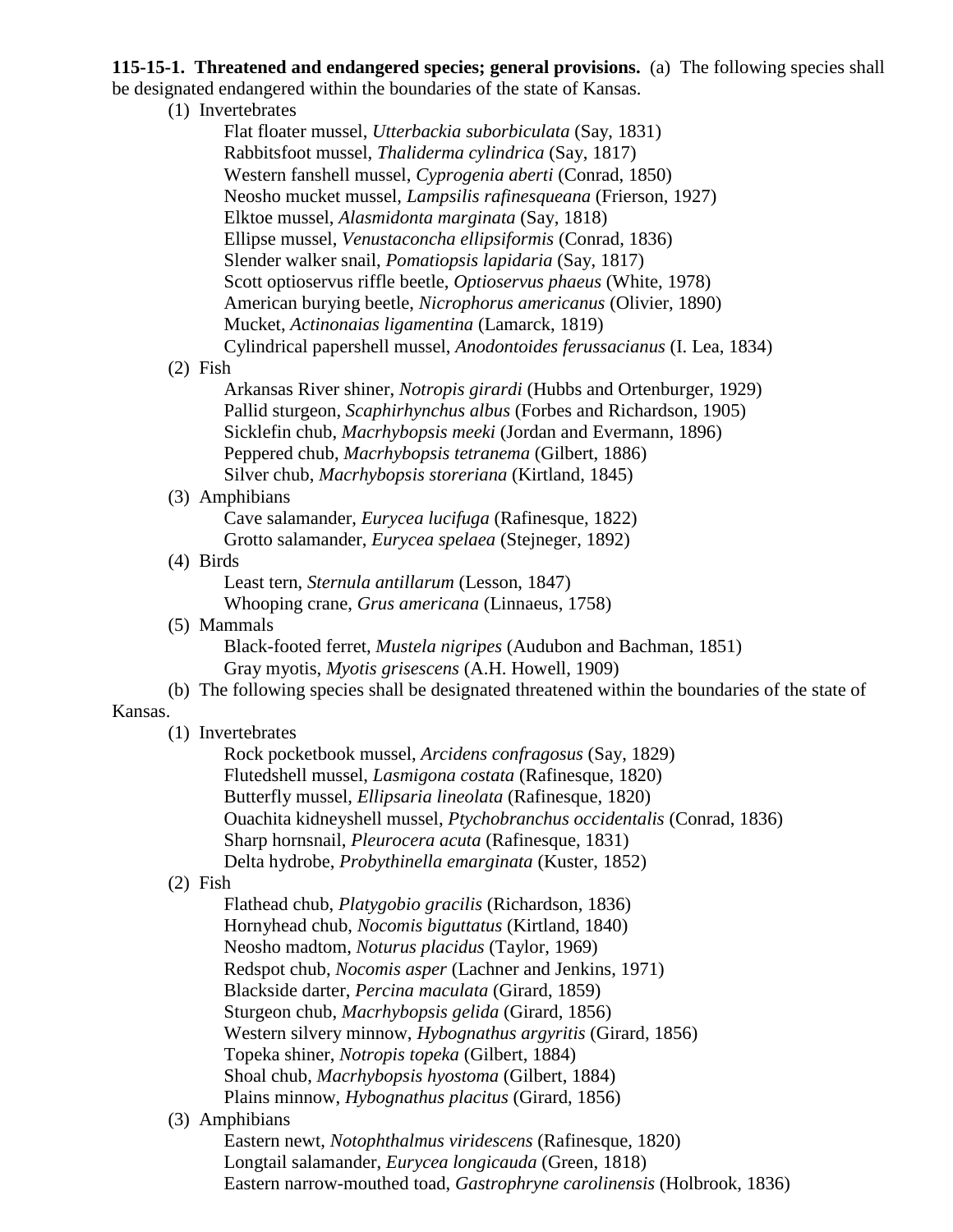**115-15-1. Threatened and endangered species; general provisions.** (a) The following species shall be designated endangered within the boundaries of the state of Kansas.

(1) Invertebrates

Flat floater mussel, *Utterbackia suborbiculata* (Say, 1831) Rabbitsfoot mussel, *Thaliderma cylindrica* (Say, 1817) Western fanshell mussel, *Cyprogenia aberti* (Conrad, 1850) Neosho mucket mussel, *Lampsilis rafinesqueana* (Frierson, 1927) Elktoe mussel, *Alasmidonta marginata* (Say, 1818) Ellipse mussel, *Venustaconcha ellipsiformis* (Conrad, 1836) Slender walker snail, *Pomatiopsis lapidaria* (Say, 1817) Scott optioservus riffle beetle, *Optioservus phaeus* (White, 1978) American burying beetle, *Nicrophorus americanus* (Olivier, 1890) Mucket, *Actinonaias ligamentina* (Lamarck, 1819) Cylindrical papershell mussel, *Anodontoides ferussacianus* (I. Lea, 1834)

(2) Fish

Arkansas River shiner, *Notropis girardi* (Hubbs and Ortenburger, 1929) Pallid sturgeon, *Scaphirhynchus albus* (Forbes and Richardson, 1905) Sicklefin chub, *Macrhybopsis meeki* (Jordan and Evermann, 1896) Peppered chub, *Macrhybopsis tetranema* (Gilbert, 1886) Silver chub, *Macrhybopsis storeriana* (Kirtland, 1845)

## (3) Amphibians

Cave salamander, *Eurycea lucifuga* (Rafinesque, 1822) Grotto salamander, *Eurycea spelaea* (Stejneger, 1892)

(4) Birds

Least tern, *Sternula antillarum* (Lesson, 1847) Whooping crane, *Grus americana* (Linnaeus, 1758)

(5) Mammals

Black-footed ferret, *Mustela nigripes* (Audubon and Bachman, 1851) Gray myotis, *Myotis grisescens* (A.H. Howell, 1909)

(b) The following species shall be designated threatened within the boundaries of the state of

## Kansas.

(1) Invertebrates

Rock pocketbook mussel, *Arcidens confragosus* (Say, 1829) Flutedshell mussel, *Lasmigona costata* (Rafinesque, 1820) Butterfly mussel, *Ellipsaria lineolata* (Rafinesque, 1820) Ouachita kidneyshell mussel, *Ptychobranchus occidentalis* (Conrad, 1836) Sharp hornsnail, *Pleurocera acuta* (Rafinesque, 1831) Delta hydrobe, *Probythinella emarginata* (Kuster, 1852)

## (2) Fish

Flathead chub, *Platygobio gracilis* (Richardson, 1836) Hornyhead chub, *Nocomis biguttatus* (Kirtland, 1840) Neosho madtom, *Noturus placidus* (Taylor, 1969) Redspot chub, *Nocomis asper* (Lachner and Jenkins, 1971) Blackside darter, *Percina maculata* (Girard, 1859) Sturgeon chub, *Macrhybopsis gelida* (Girard, 1856) Western silvery minnow, *Hybognathus argyritis* (Girard, 1856) Topeka shiner, *Notropis topeka* (Gilbert, 1884) Shoal chub, *Macrhybopsis hyostoma* (Gilbert, 1884) Plains minnow, *Hybognathus placitus* (Girard, 1856)

## (3) Amphibians

Eastern newt, *Notophthalmus viridescens* (Rafinesque, 1820) Longtail salamander, *Eurycea longicauda* (Green, 1818) Eastern narrow-mouthed toad, *Gastrophryne carolinensis* (Holbrook, 1836)